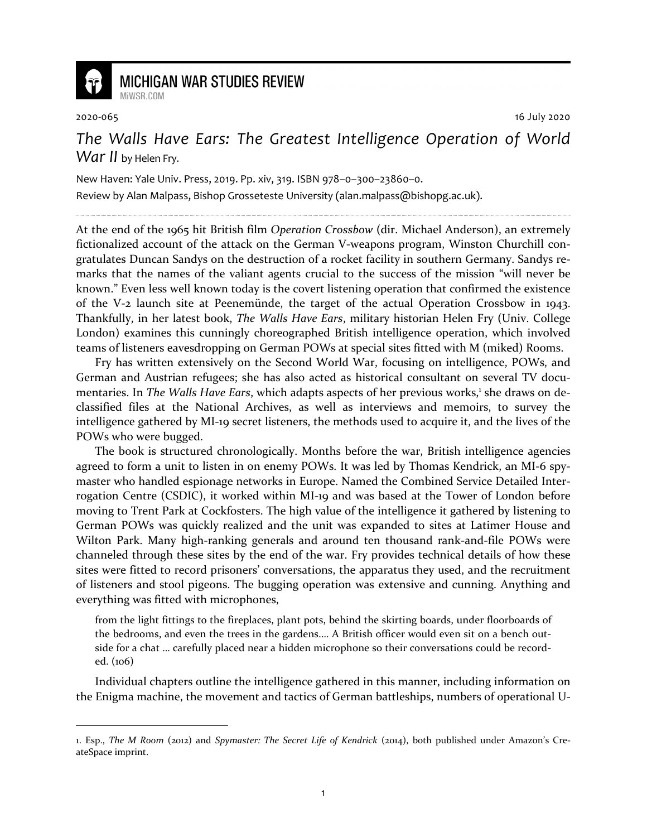

## **MICHIGAN WAR STUDIES REVIEW** MiWSR COM

2020-065 16 July 2020

*The Walls Have Ears: The Greatest Intelligence Operation of World War II* by Helen Fry.

New Haven: Yale Univ. Press, 2019. Pp. xiv, 319. ISBN 978–0–300–23860–0. Review by Alan Malpass, Bishop Grosseteste University (alan.malpass@bishopg.ac.uk).

At the end of the 1965 hit British film *Operation Crossbow* (dir. Michael Anderson), an extremely fictionalized account of the attack on the German V-weapons program, Winston Churchill congratulates Duncan Sandys on the destruction of a rocket facility in southern Germany. Sandys remarks that the names of the valiant agents crucial to the success of the mission "will never be known." Even less well known today is the covert listening operation that confirmed the existence of the V-2 launch site at Peenemünde, the target of the actual Operation Crossbow in 1943. Thankfully, in her latest book, *The Walls Have Ears*, military historian Helen Fry (Univ. College London) examines this cunningly choreographed British intelligence operation, which involved teams of listeners eavesdropping on German POWs at special sites fitted with M (miked) Rooms.

Fry has written extensively on the Second World War, focusing on intelligence, POWs, and German and Austrian refugees; she has also acted as historical consultant on several TV documentaries. In The Walls Have Ears, which adapts aspects of her previous works,<sup>1</sup> she draws on declassified files at the National Archives, as well as interviews and memoirs, to survey the intelligence gathered by MI-19 secret listeners, the methods used to acquire it, and the lives of the POWs who were bugged.

The book is structured chronologically. Months before the war, British intelligence agencies agreed to form a unit to listen in on enemy POWs. It was led by Thomas Kendrick, an MI-6 spymaster who handled espionage networks in Europe. Named the Combined Service Detailed Interrogation Centre (CSDIC), it worked within MI-19 and was based at the Tower of London before moving to Trent Park at Cockfosters. The high value of the intelligence it gathered by listening to German POWs was quickly realized and the unit was expanded to sites at Latimer House and Wilton Park. Many high-ranking generals and around ten thousand rank-and-file POWs were channeled through these sites by the end of the war. Fry provides technical details of how these sites were fitted to record prisoners' conversations, the apparatus they used, and the recruitment of listeners and stool pigeons. The bugging operation was extensive and cunning. Anything and everything was fitted with microphones,

from the light fittings to the fireplaces, plant pots, behind the skirting boards, under floorboards of the bedrooms, and even the trees in the gardens.… A British officer would even sit on a bench outside for a chat … carefully placed near a hidden microphone so their conversations could be recorded. (106)

Individual chapters outline the intelligence gathered in this manner, including information on the Enigma machine, the movement and tactics of German battleships, numbers of operational U-

<sup>1.</sup> Esp., *The M Room* (2012) and *Spymaster: The Secret Life of Kendrick* (2014), both published under Amazon's CreateSpace imprint.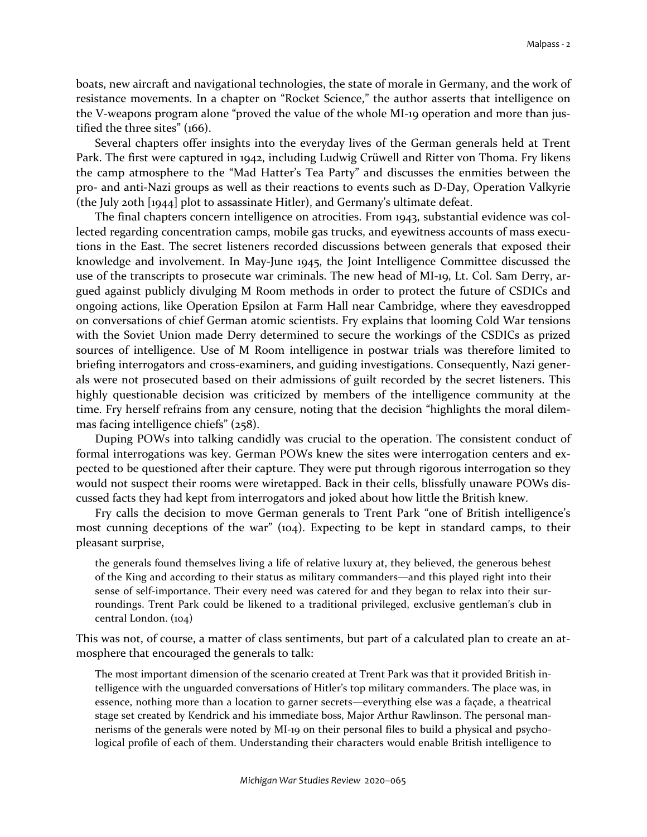boats, new aircraft and navigational technologies, the state of morale in Germany, and the work of resistance movements. In a chapter on "Rocket Science," the author asserts that intelligence on the V-weapons program alone "proved the value of the whole MI-19 operation and more than justified the three sites" (166).

Several chapters offer insights into the everyday lives of the German generals held at Trent Park. The first were captured in 1942, including Ludwig Crüwell and Ritter von Thoma. Fry likens the camp atmosphere to the "Mad Hatter's Tea Party" and discusses the enmities between the pro- and anti-Nazi groups as well as their reactions to events such as D-Day, Operation Valkyrie (the July 20th [1944] plot to assassinate Hitler), and Germany's ultimate defeat.

The final chapters concern intelligence on atrocities. From 1943, substantial evidence was collected regarding concentration camps, mobile gas trucks, and eyewitness accounts of mass executions in the East. The secret listeners recorded discussions between generals that exposed their knowledge and involvement. In May-June 1945, the Joint Intelligence Committee discussed the use of the transcripts to prosecute war criminals. The new head of MI-19, Lt. Col. Sam Derry, argued against publicly divulging M Room methods in order to protect the future of CSDICs and ongoing actions, like Operation Epsilon at Farm Hall near Cambridge, where they eavesdropped on conversations of chief German atomic scientists. Fry explains that looming Cold War tensions with the Soviet Union made Derry determined to secure the workings of the CSDICs as prized sources of intelligence. Use of M Room intelligence in postwar trials was therefore limited to briefing interrogators and cross-examiners, and guiding investigations. Consequently, Nazi generals were not prosecuted based on their admissions of guilt recorded by the secret listeners. This highly questionable decision was criticized by members of the intelligence community at the time. Fry herself refrains from any censure, noting that the decision "highlights the moral dilemmas facing intelligence chiefs" (258).

Duping POWs into talking candidly was crucial to the operation. The consistent conduct of formal interrogations was key. German POWs knew the sites were interrogation centers and expected to be questioned after their capture. They were put through rigorous interrogation so they would not suspect their rooms were wiretapped. Back in their cells, blissfully unaware POWs discussed facts they had kept from interrogators and joked about how little the British knew.

Fry calls the decision to move German generals to Trent Park "one of British intelligence's most cunning deceptions of the war" (104). Expecting to be kept in standard camps, to their pleasant surprise,

the generals found themselves living a life of relative luxury at, they believed, the generous behest of the King and according to their status as military commanders—and this played right into their sense of self-importance. Their every need was catered for and they began to relax into their surroundings. Trent Park could be likened to a traditional privileged, exclusive gentleman's club in central London. (104)

This was not, of course, a matter of class sentiments, but part of a calculated plan to create an atmosphere that encouraged the generals to talk:

The most important dimension of the scenario created at Trent Park was that it provided British intelligence with the unguarded conversations of Hitler's top military commanders. The place was, in essence, nothing more than a location to garner secrets—everything else was a façade, a theatrical stage set created by Kendrick and his immediate boss, Major Arthur Rawlinson. The personal mannerisms of the generals were noted by MI-19 on their personal files to build a physical and psychological profile of each of them. Understanding their characters would enable British intelligence to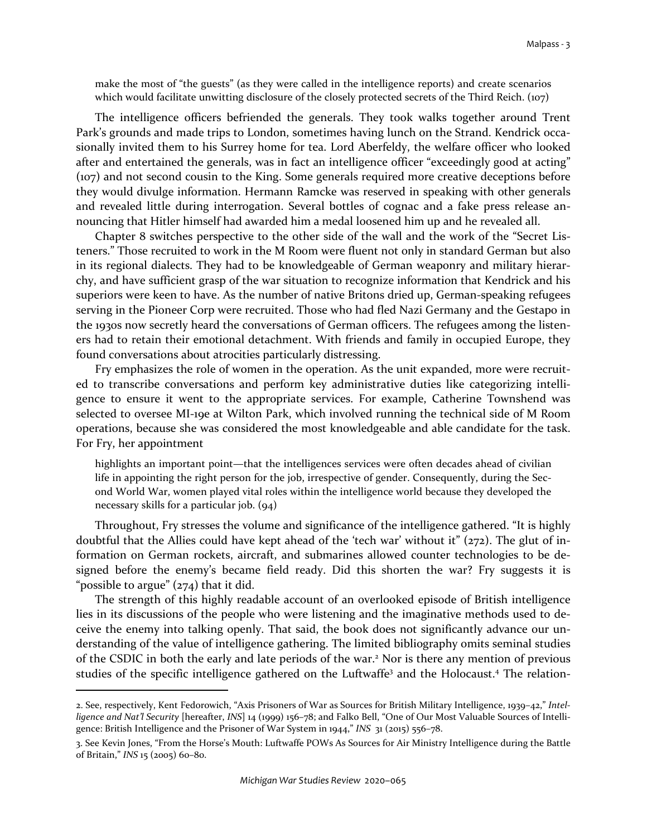make the most of "the guests" (as they were called in the intelligence reports) and create scenarios which would facilitate unwitting disclosure of the closely protected secrets of the Third Reich. (107)

The intelligence officers befriended the generals. They took walks together around Trent Park's grounds and made trips to London, sometimes having lunch on the Strand. Kendrick occasionally invited them to his Surrey home for tea. Lord Aberfeldy, the welfare officer who looked after and entertained the generals, was in fact an intelligence officer "exceedingly good at acting" (107) and not second cousin to the King. Some generals required more creative deceptions before they would divulge information. Hermann Ramcke was reserved in speaking with other generals and revealed little during interrogation. Several bottles of cognac and a fake press release announcing that Hitler himself had awarded him a medal loosened him up and he revealed all.

Chapter 8 switches perspective to the other side of the wall and the work of the "Secret Listeners." Those recruited to work in the M Room were fluent not only in standard German but also in its regional dialects. They had to be knowledgeable of German weaponry and military hierarchy, and have sufficient grasp of the war situation to recognize information that Kendrick and his superiors were keen to have. As the number of native Britons dried up, German-speaking refugees serving in the Pioneer Corp were recruited. Those who had fled Nazi Germany and the Gestapo in the 1930s now secretly heard the conversations of German officers. The refugees among the listeners had to retain their emotional detachment. With friends and family in occupied Europe, they found conversations about atrocities particularly distressing.

Fry emphasizes the role of women in the operation. As the unit expanded, more were recruited to transcribe conversations and perform key administrative duties like categorizing intelligence to ensure it went to the appropriate services. For example, Catherine Townshend was selected to oversee MI-19e at Wilton Park, which involved running the technical side of M Room operations, because she was considered the most knowledgeable and able candidate for the task. For Fry, her appointment

highlights an important point—that the intelligences services were often decades ahead of civilian life in appointing the right person for the job, irrespective of gender. Consequently, during the Second World War, women played vital roles within the intelligence world because they developed the necessary skills for a particular job. (94)

Throughout, Fry stresses the volume and significance of the intelligence gathered. "It is highly doubtful that the Allies could have kept ahead of the 'tech war' without it" (272). The glut of information on German rockets, aircraft, and submarines allowed counter technologies to be designed before the enemy's became field ready. Did this shorten the war? Fry suggests it is "possible to argue"  $(274)$  that it did.

The strength of this highly readable account of an overlooked episode of British intelligence lies in its discussions of the people who were listening and the imaginative methods used to deceive the enemy into talking openly. That said, the book does not significantly advance our understanding of the value of intelligence gathering. The limited bibliography omits seminal studies of the CSDIC in both the early and late periods of the war.<sup>2</sup> Nor is there any mention of previous studies of the specific intelligence gathered on the Luftwaffe<sup>3</sup> and the Holocaust.<sup>4</sup> The relation-

<sup>2.</sup> See, respectively, Kent Fedorowich, "Axis Prisoners of War as Sources for British Military Intelligence, 1939–42," *Intelligence and Nat'l Security* [hereafter, *INS*] 14 (1999) 156–78; and Falko Bell, "One of Our Most Valuable Sources of Intelligence: British Intelligence and the Prisoner of War System in 1944," *INS* 31 (2015) 556–78.

<sup>3.</sup> See Kevin Jones, "From the Horse's Mouth: Luftwaffe POWs As Sources for Air Ministry Intelligence during the Battle of Britain," *INS* 15 (2005) 60–80.